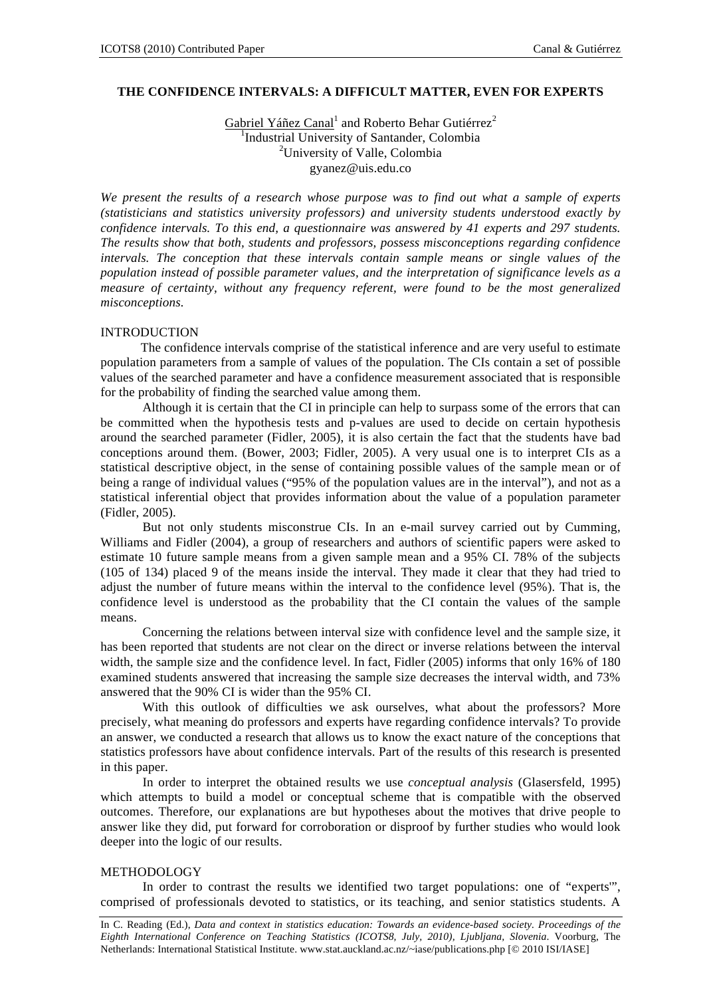# **THE CONFIDENCE INTERVALS: A DIFFICULT MATTER, EVEN FOR EXPERTS**

Gabriel Yáñez Canal<sup>1</sup> and Roberto Behar Gutiérrez<sup>2</sup> <sup>1</sup>Industrial University of Santander, Colombia 2 University of Valle, Colombia gyanez@uis.edu.co

*We present the results of a research whose purpose was to find out what a sample of experts (statisticians and statistics university professors) and university students understood exactly by confidence intervals. To this end, a questionnaire was answered by 41 experts and 297 students. The results show that both, students and professors, possess misconceptions regarding confidence intervals. The conception that these intervals contain sample means or single values of the population instead of possible parameter values, and the interpretation of significance levels as a measure of certainty, without any frequency referent, were found to be the most generalized misconceptions.* 

### **INTRODUCTION**

The confidence intervals comprise of the statistical inference and are very useful to estimate population parameters from a sample of values of the population. The CIs contain a set of possible values of the searched parameter and have a confidence measurement associated that is responsible for the probability of finding the searched value among them.

Although it is certain that the CI in principle can help to surpass some of the errors that can be committed when the hypothesis tests and p-values are used to decide on certain hypothesis around the searched parameter (Fidler, 2005), it is also certain the fact that the students have bad conceptions around them. (Bower, 2003; Fidler, 2005). A very usual one is to interpret CIs as a statistical descriptive object, in the sense of containing possible values of the sample mean or of being a range of individual values ("95% of the population values are in the interval"), and not as a statistical inferential object that provides information about the value of a population parameter (Fidler, 2005).

But not only students misconstrue CIs. In an e-mail survey carried out by Cumming, Williams and Fidler (2004), a group of researchers and authors of scientific papers were asked to estimate 10 future sample means from a given sample mean and a 95% CI. 78% of the subjects (105 of 134) placed 9 of the means inside the interval. They made it clear that they had tried to adjust the number of future means within the interval to the confidence level (95%). That is, the confidence level is understood as the probability that the CI contain the values of the sample means.

Concerning the relations between interval size with confidence level and the sample size, it has been reported that students are not clear on the direct or inverse relations between the interval width, the sample size and the confidence level. In fact, Fidler (2005) informs that only 16% of 180 examined students answered that increasing the sample size decreases the interval width, and 73% answered that the 90% CI is wider than the 95% CI.

With this outlook of difficulties we ask ourselves, what about the professors? More precisely, what meaning do professors and experts have regarding confidence intervals? To provide an answer, we conducted a research that allows us to know the exact nature of the conceptions that statistics professors have about confidence intervals. Part of the results of this research is presented in this paper.

In order to interpret the obtained results we use *conceptual analysis* (Glasersfeld, 1995) which attempts to build a model or conceptual scheme that is compatible with the observed outcomes. Therefore, our explanations are but hypotheses about the motives that drive people to answer like they did, put forward for corroboration or disproof by further studies who would look deeper into the logic of our results.

# METHODOLOGY

In order to contrast the results we identified two target populations: one of "experts'", comprised of professionals devoted to statistics, or its teaching, and senior statistics students. A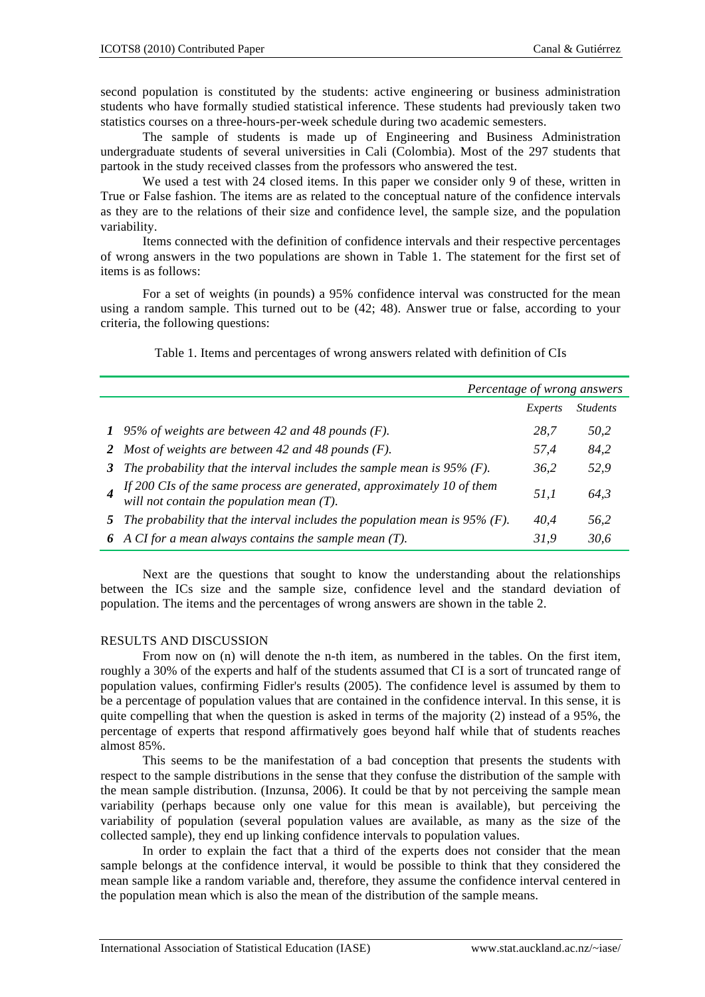second population is constituted by the students: active engineering or business administration students who have formally studied statistical inference. These students had previously taken two statistics courses on a three-hours-per-week schedule during two academic semesters.

The sample of students is made up of Engineering and Business Administration undergraduate students of several universities in Cali (Colombia). Most of the 297 students that partook in the study received classes from the professors who answered the test.

We used a test with 24 closed items. In this paper we consider only 9 of these, written in True or False fashion. The items are as related to the conceptual nature of the confidence intervals as they are to the relations of their size and confidence level, the sample size, and the population variability.

Items connected with the definition of confidence intervals and their respective percentages of wrong answers in the two populations are shown in Table 1. The statement for the first set of items is as follows:

For a set of weights (in pounds) a 95% confidence interval was constructed for the mean using a random sample. This turned out to be (42; 48). Answer true or false, according to your criteria, the following questions:

|   |                                                                                                                     | Percentage of wrong answers |                 |  |
|---|---------------------------------------------------------------------------------------------------------------------|-----------------------------|-----------------|--|
|   |                                                                                                                     | Experts                     | <b>Students</b> |  |
|   | 1 95% of weights are between 42 and 48 pounds $(F)$ .                                                               | 28.7                        | 50,2            |  |
|   | 2 Most of weights are between 42 and 48 pounds $(F)$ .                                                              | 57.4                        | 84,2            |  |
| 3 | The probability that the interval includes the sample mean is $95\%$ (F).                                           | 36.2                        | 52,9            |  |
|   | If 200 CIs of the same process are generated, approximately 10 of them will not contain the population mean $(T)$ . | 51.1                        | 64,3            |  |
|   | 5 The probability that the interval includes the population mean is $95\%$ (F).                                     | 40.4                        | 56,2            |  |
|   | 6 A CI for a mean always contains the sample mean $(T)$ .                                                           | 31.9                        | 30,6            |  |

Table 1. Items and percentages of wrong answers related with definition of CIs

Next are the questions that sought to know the understanding about the relationships between the ICs size and the sample size, confidence level and the standard deviation of population. The items and the percentages of wrong answers are shown in the table 2.

# RESULTS AND DISCUSSION

From now on (n) will denote the n-th item, as numbered in the tables. On the first item, roughly a 30% of the experts and half of the students assumed that CI is a sort of truncated range of population values, confirming Fidler's results (2005). The confidence level is assumed by them to be a percentage of population values that are contained in the confidence interval. In this sense, it is quite compelling that when the question is asked in terms of the majority (2) instead of a 95%, the percentage of experts that respond affirmatively goes beyond half while that of students reaches almost 85%.

This seems to be the manifestation of a bad conception that presents the students with respect to the sample distributions in the sense that they confuse the distribution of the sample with the mean sample distribution. (Inzunsa, 2006). It could be that by not perceiving the sample mean variability (perhaps because only one value for this mean is available), but perceiving the variability of population (several population values are available, as many as the size of the collected sample), they end up linking confidence intervals to population values.

In order to explain the fact that a third of the experts does not consider that the mean sample belongs at the confidence interval, it would be possible to think that they considered the mean sample like a random variable and, therefore, they assume the confidence interval centered in the population mean which is also the mean of the distribution of the sample means.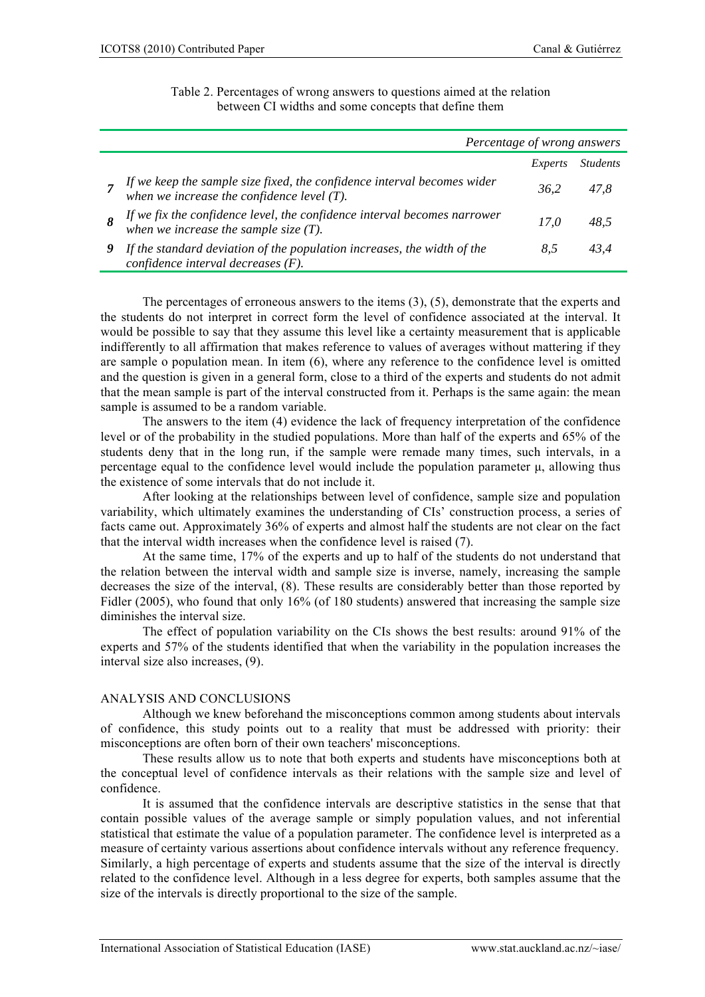| Percentage of wrong answers                                                                                           |         |                 |  |
|-----------------------------------------------------------------------------------------------------------------------|---------|-----------------|--|
|                                                                                                                       | Experts | <i>Students</i> |  |
| If we keep the sample size fixed, the confidence interval becomes wider when we increase the confidence level $(T)$ . | 36.2    | 47.8            |  |
| If we fix the confidence level, the confidence interval becomes narrower when we increase the sample size $(T)$ .     | 17.0    | 48.5            |  |
| If the standard deviation of the population increases, the width of the<br>confidence interval decreases $(F)$ .      | 8.5     | 43.4            |  |

| Table 2. Percentages of wrong answers to questions aimed at the relation |  |
|--------------------------------------------------------------------------|--|
| between CI widths and some concepts that define them                     |  |

The percentages of erroneous answers to the items (3), (5), demonstrate that the experts and the students do not interpret in correct form the level of confidence associated at the interval. It would be possible to say that they assume this level like a certainty measurement that is applicable indifferently to all affirmation that makes reference to values of averages without mattering if they are sample o population mean. In item (6), where any reference to the confidence level is omitted and the question is given in a general form, close to a third of the experts and students do not admit that the mean sample is part of the interval constructed from it. Perhaps is the same again: the mean sample is assumed to be a random variable.

The answers to the item (4) evidence the lack of frequency interpretation of the confidence level or of the probability in the studied populations. More than half of the experts and 65% of the students deny that in the long run, if the sample were remade many times, such intervals, in a percentage equal to the confidence level would include the population parameter μ, allowing thus the existence of some intervals that do not include it.

After looking at the relationships between level of confidence, sample size and population variability, which ultimately examines the understanding of CIs' construction process, a series of facts came out. Approximately 36% of experts and almost half the students are not clear on the fact that the interval width increases when the confidence level is raised (7).

At the same time, 17% of the experts and up to half of the students do not understand that the relation between the interval width and sample size is inverse, namely, increasing the sample decreases the size of the interval, (8). These results are considerably better than those reported by Fidler (2005), who found that only 16% (of 180 students) answered that increasing the sample size diminishes the interval size.

The effect of population variability on the CIs shows the best results: around 91% of the experts and 57% of the students identified that when the variability in the population increases the interval size also increases, (9).

# ANALYSIS AND CONCLUSIONS

Although we knew beforehand the misconceptions common among students about intervals of confidence, this study points out to a reality that must be addressed with priority: their misconceptions are often born of their own teachers' misconceptions.

These results allow us to note that both experts and students have misconceptions both at the conceptual level of confidence intervals as their relations with the sample size and level of confidence.

It is assumed that the confidence intervals are descriptive statistics in the sense that that contain possible values of the average sample or simply population values, and not inferential statistical that estimate the value of a population parameter. The confidence level is interpreted as a measure of certainty various assertions about confidence intervals without any reference frequency. Similarly, a high percentage of experts and students assume that the size of the interval is directly related to the confidence level. Although in a less degree for experts, both samples assume that the size of the intervals is directly proportional to the size of the sample.